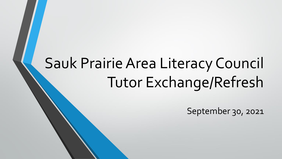# Sauk Prairie Area Literacy Council Tutor Exchange/Refresh

September 30, 2021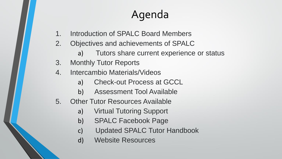# Agenda

- 1. Introduction of SPALC Board Members
- 2. Objectives and achievements of SPALC
	- a) Tutors share current experience or status
- 3. Monthly Tutor Reports
- 4. Intercambio Materials/Videos
	- a) Check-out Process at GCCL
	- b) Assessment Tool Available
- 5. Other Tutor Resources Available
	- a) Virtual Tutoring Support
	- b) SPALC Facebook Page
	- c) Updated SPALC Tutor Handbook
	- d) Website Resources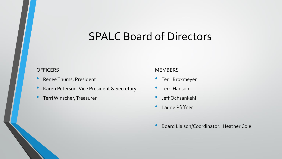### SPALC Board of Directors

#### **OFFICERS**

- Renee Thums, President
- Karen Peterson, Vice President & Secretary
- Terri Winscher, Treasurer

#### **MEMBERS**

- Terri Broxmeyer
- Terri Hanson
- Jeff Ochsankehl
- Laurie Pfiffner
- Board Liaison/Coordinator: Heather Cole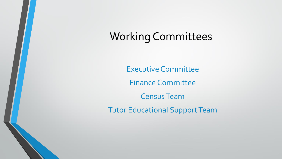# Working Committees

Executive Committee Finance Committee Census Team Tutor Educational Support Team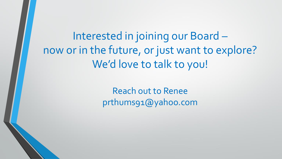Interested in joining our Board – now or in the future, or just want to explore? We'd love to talk to you!

> Reach out to Renee prthums91@yahoo.com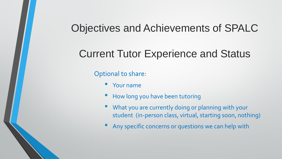### Objectives and Achievements of SPALC

### Current Tutor Experience and Status

### Optional to share:

- Your name
- How long you have been tutoring
- What you are currently doing or planning with your student (in-person class, virtual, starting soon, nothing)
- Any specific concerns or questions we can help with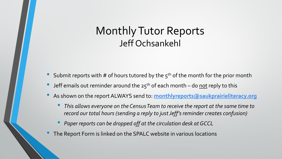### Monthly Tutor Reports Jeff Ochsankehl

- Submit reports with # of hours tutored by the  $5<sup>th</sup>$  of the month for the prior month
- Jeff emails out reminder around the  $25<sup>th</sup>$  of each month do not reply to this
- As shown on the report ALWAYS send to: **[monthlyreports@saukprairieliteracy.org](mailto:monthlyreports@saukprairieliteracy.org)**
	- *This allows everyone on the Census Team to receive the report at the same time to record our total hours (sending a reply to just Jeff's reminder creates confusion)*
	- *Paper reports can be dropped off at the circulation desk at GCCL*
- The Report Form is linked on the SPALC website in various locations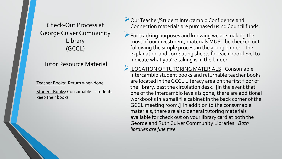Check-Out Process at George Culver Community Library (GCCL)

Tutor Resource Material

Teacher Books: Return when done

Student Books: Consumable – students keep their books

➢Our Teacher/Student Intercambio Confidence and Connection materials are purchased using Council funds.

➢For tracking purposes and knowing we are making the most of our investment, materials MUST be checked out following the simple process in the 3-ring binder - the explanation and correlating sheets for each book level to indicate what you're taking is in the binder.

➢LOCATION OF TUTORING MATERIALS: Consumable Intercambio student books and returnable teacher books are located in the GCCL Literacy area on the first floor of the library, past the circulation desk. [In the event that one of the Intercambio levels is gone, there are additional workbooks in a small file cabinet in the back corner of the GCCL meeting room.] In addition to the consumable materials, there are also general tutoring materials available for check out on your library card at both the George and Ruth Culver Community Libraries. *Both libraries are fine free.*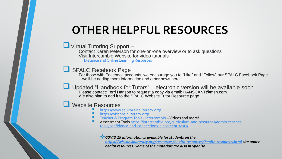## **OTHER HELPFUL RESOURCES**

### ■ Virtual Tutoring Support –

Contact Karen Peterson for one-on-one overview or to ask questions Visit Intercambio Website for video tutorials [Distance and Online Learning Resources](https://intercambio.org/curriculum-and-resources/distance-learning-resources/)

### ❑ SPALC Facebook Page

For those with Facebook accounts, we encourage you to "Like" and "Follow" our SPALC Facebook Page – we'll be adding more information and other news here

□ Updated "Handbook for Tutors" – electronic version will be available soon Please contact: Terri Hanson to request a copy via email: HANSCANT@msn.com We also plan to add it to the SPALC Website Tutor Resource page.

#### ❑ Website Resources

- **E** <https://www.saukprairieliteracy.org/>
- <https://wisconsinliteracy.org/>
- **Example 3 [Teacher & Program Tools -](https://intercambio.org/curriculum-and-resources/admin-teacher-tools/) Intercambio Videos and more!**<br>Accessment Tools https://intercambio.org/curriculum.and
- [Assessment Tools https://intercambio.org/curriculum-and-resources/admin-teacher](https://intercambio.org/curriculum-and-resources/admin-teacher-tools/confidence-and-connections-placement-tests/)tools/confidence-and-connections-placement-tests/

❖*COVID 19 information is available for students on the* 

*<https://wisconsinliteracy.org/resources/health-resources/health-resources.html> site under health resources. Some of the materials are also in Spanish.*